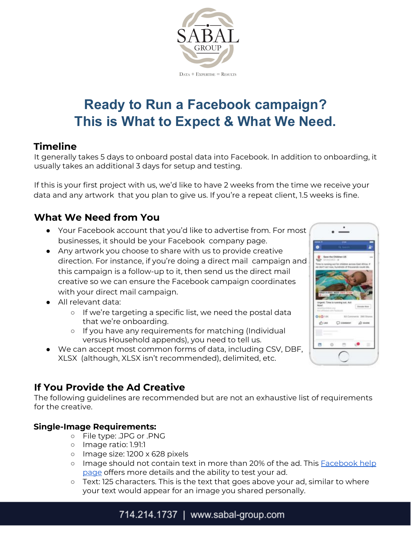

# **Ready to Run a Facebook campaign? This is What to Expect & What We Need.**

## **Timeline**

It generally takes 5 days to onboard postal data into Facebook. In addition to onboarding, it usually takes an additional 3 days for setup and testing.

If this is your first project with us, we'd like to have 2 weeks from the time we receive your data and any artwork that you plan to give us. If you're a repeat client, 1.5 weeks is fine.

## **What We Need from You**

- Your Facebook account that you'd like to advertise from. For most businesses, it should be your Facebook company page.
- Any artwork you choose to share with us to provide creative direction. For instance, if you're doing a direct mail campaign and this campaign is a follow-up to it, then send us the direct mail creative so we can ensure the Facebook campaign coordinates with your direct mail campaign.
- All relevant data:
	- If we're targeting a specific list, we need the postal data that we're onboarding.
	- If you have any requirements for matching (Individual versus Household appends), you need to tell us.
- We can accept most common forms of data, including CSV, DBF, XLSX (although, XLSX isn't recommended), delimited, etc.



# **If You Provide the Ad Creative**

The following guidelines are recommended but are not an exhaustive list of requirements for the creative.

#### **Single-Image Requirements:**

- File type: .JPG or .PNG
- Image ratio: 1.91:1
- Image size: 1200 x 628 pixels
- Image should not contain text in more than 20% of the ad. This [Facebook](https://www.facebook.com/business/help/980593475366490?id=1240182842783684&ref=ads_guide) help [page](https://www.facebook.com/business/help/980593475366490?id=1240182842783684&ref=ads_guide) offers more details and the ability to test your ad.
- Text: 125 characters. This is the text that goes above your ad, similar to where your text would appear for an image you shared personally.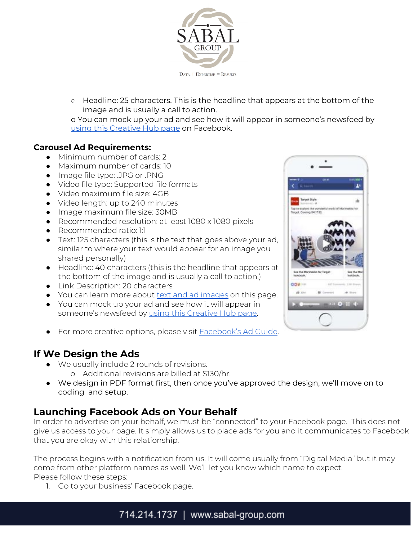

○ Headline: 25 characters. This is the headline that appears at the bottom of the image and is usually a call to action.

o You can mock up your ad and see how it will appear in someone's newsfeed by using this [Creative](https://www.facebook.com/ads/creativehub/home/create/link) Hub page on Facebook.

#### **Carousel Ad Requirements:**

- Minimum number of cards: 2
- Maximum number of cards: 10
- Image file type: .JPG or .PNG
- Video file type: [Supported](https://www.facebook.com/help/218673814818907?ref=ads_guide) file formats
- Video maximum file size: 4GB
- Video length: up to 240 minutes
- Image maximum file size: 30MB
- Recommended resolution: at least 1080 x 1080 pixels
- Recommended ratio: 1:1
- Text: 125 characters (this is the text that goes above your ad, similar to where your text would appear for an image you shared personally)
- Headline: 40 characters (this is the headline that appears at the bottom of the image and is usually a call to action.)
- Link Description: 20 characters
- You can learn more about text and ad [images](https://www.facebook.com/business/help/980593475366490?ref=ads_guide) on this page.
- You can mock up your ad and see how it will appear in someone's newsfeed by using this [Creative](https://www.facebook.com/ads/creativehub/home/create/carousel/) Hub page.
- For more creative options, please visit **[Facebook's](https://www.facebook.com/business/ads-guide) Ad Guide**.

### **If We Design the Ads**

- We usually include 2 rounds of revisions.
	- o Additional revisions are billed at \$130/hr.
- We design in PDF format first, then once you've approved the design, we'll move on to coding and setup.

# **Launching Facebook Ads on Your Behalf**

In order to advertise on your behalf, we must be "connected" to your Facebook page. This does not give us access to your page. It simply allows us to place ads for you and it communicates to Facebook that you are okay with this relationship.

The process begins with a notification from us. It will come usually from "Digital Media" but it may come from other platform names as well. We'll let you know which name to expect. Please follow these steps:

1. Go to your business' Facebook page.